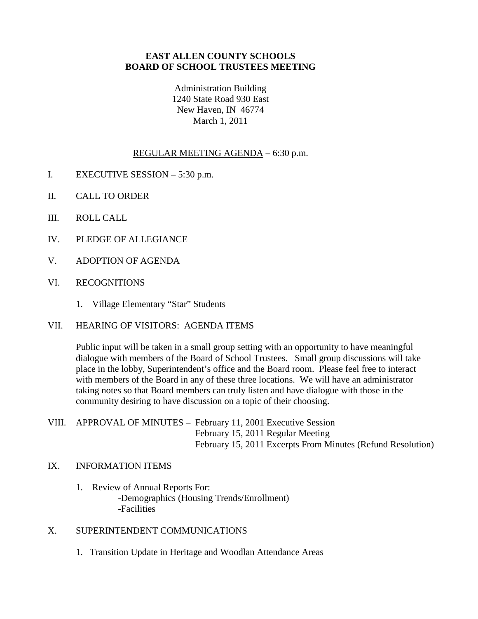### **EAST ALLEN COUNTY SCHOOLS BOARD OF SCHOOL TRUSTEES MEETING**

Administration Building 1240 State Road 930 East New Haven, IN 46774 March 1, 2011

#### REGULAR MEETING AGENDA – 6:30 p.m.

- I. EXECUTIVE SESSION 5:30 p.m.
- II. CALL TO ORDER
- III. ROLL CALL
- IV. PLEDGE OF ALLEGIANCE
- V. ADOPTION OF AGENDA
- VI. RECOGNITIONS
	- 1. Village Elementary "Star" Students
- VII. HEARING OF VISITORS: AGENDA ITEMS

Public input will be taken in a small group setting with an opportunity to have meaningful dialogue with members of the Board of School Trustees. Small group discussions will take place in the lobby, Superintendent's office and the Board room. Please feel free to interact with members of the Board in any of these three locations. We will have an administrator taking notes so that Board members can truly listen and have dialogue with those in the community desiring to have discussion on a topic of their choosing.

VIII. APPROVAL OF MINUTES – February 11, 2001 Executive Session February 15, 2011 Regular Meeting February 15, 2011 Excerpts From Minutes (Refund Resolution)

#### IX. INFORMATION ITEMS

- 1. Review of Annual Reports For: -Demographics (Housing Trends/Enrollment) -Facilities
- X. SUPERINTENDENT COMMUNICATIONS
	- 1. Transition Update in Heritage and Woodlan Attendance Areas